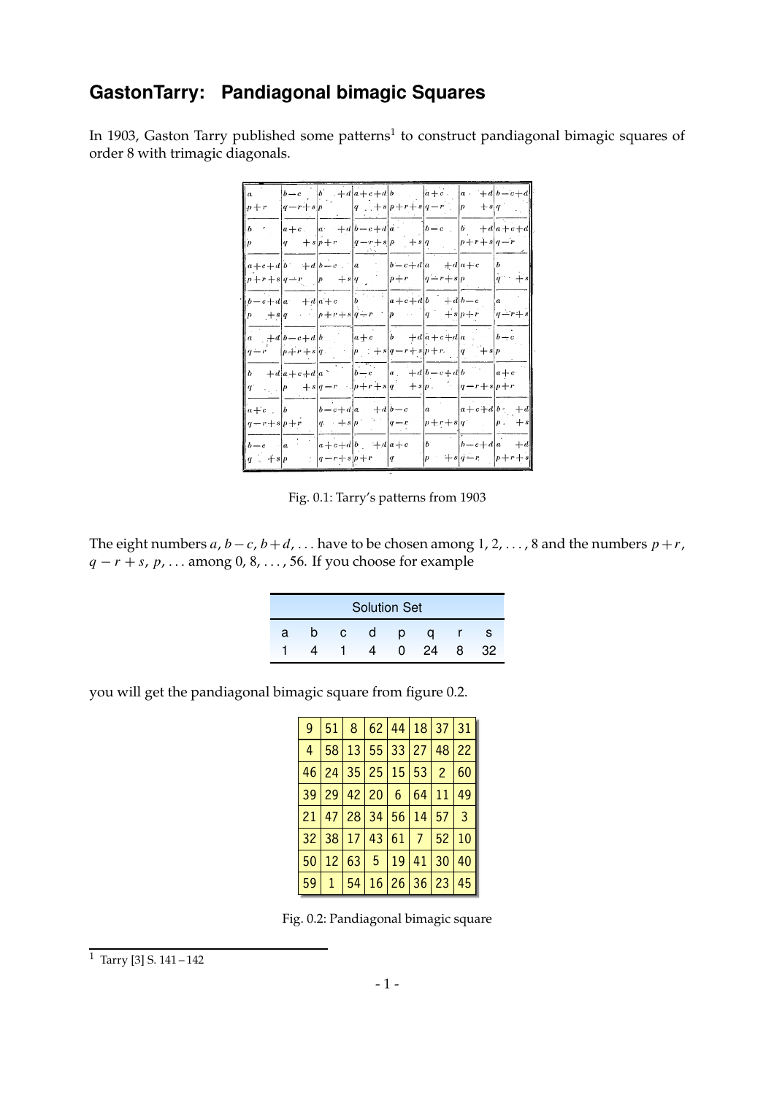## **GastonTarry: Pandiagonal bimagic Squares**

| a.                      | $b-c$                                                         | b                                          | $+ d  a+c+d b$ $ a+c $ |   |                                                             | $ a + d b - c + c$         |                |
|-------------------------|---------------------------------------------------------------|--------------------------------------------|------------------------|---|-------------------------------------------------------------|----------------------------|----------------|
| $p+r$                   | $ q-r+s p$                                                    |                                            | $ q_{-}+s p+r+s q-r$ . |   |                                                             | p                          | $+ s  q$       |
| $b -$                   | $ a+c $ $ a + d b-c+d a$ $ b-c $ $ b - d a+c+d$               |                                            |                        |   |                                                             |                            |                |
| p                       | $q + s p+r $ $ q-r+s p + s q$                                 |                                            |                        |   |                                                             | $ p+r+s q-r$               |                |
|                         | $a+c+d b' + d b-c  \le  a $                                   |                                            |                        |   | $ b-c+d a + d a+c$                                          |                            | Ь              |
| $p+r+s q-r $ $ p + s q$ |                                                               |                                            |                        |   | $ p+r $ $ q-r+s p$                                          |                            | $q^{\ldots}$   |
| $ b-c+d a+ d a+c$       |                                                               |                                            |                        |   | $ a+c+d b + d b-c$                                          |                            | $\mathfrak{a}$ |
|                         | $p + s q + r + s q - r$                                       |                                            |                        |   | $\frac{1}{p}$ $\left  q \right $ $\left  + s \right  p + r$ |                            | $ q-r+$        |
| $\overline{a}$          | $+d[b-c+d]b$                                                  |                                            | $a+c$                  |   | $ b + d a + c + d a$ .                                      |                            | $b-c$          |
|                         | $q-r$ $ p+r+s q$                                              |                                            |                        |   | $ p  + s q-r+s p+r $ $ q  + s p$                            |                            |                |
|                         | $b + d  a + c + d  a$ $ b - c  a + d  b - c + d  b$ $ a + c $ |                                            |                        |   |                                                             |                            |                |
| q° .                    | $ p +s q-r + p+r+s q$ + $s p$ . $ q-r+s p+r$                  |                                            |                        |   |                                                             |                            |                |
|                         |                                                               |                                            |                        |   |                                                             |                            |                |
| $a+c$   $b$             |                                                               | $ b-c+d a + d b-c$<br>$ q + s p - 1 q - r$ |                        |   |                                                             | $ a =  a+c+d b + d$        |                |
| $q-r+s p+r$             |                                                               |                                            |                        |   | $ p+r+s q$ $ p + s $                                        |                            |                |
| $b = c$  a              |                                                               | $ a+c+d b + d a+c$                         |                        |   | $ b - c + d a + d $                                         |                            |                |
| $q + s p$               |                                                               | $ q-r+s p+r$                               |                        | q |                                                             | $+ s[q - r]$ $ p + r + s $ |                |

In 1903, Gaston Tarry published some patterns $^1$  to construct pandiagonal bimagic squares of order 8 with trimagic diagonals.

Fig. 0.1: Tarry's patterns from 1903

The eight numbers  $a, b - c, b + d, \ldots$  have to be chosen among 1, 2, ..., 8 and the numbers  $p + r$ , *q* − *r* + *s*, *p*, ... among 0, 8, ..., 56. If you choose for example

|   |   | <b>Solution Set</b> |   |    |   |    |
|---|---|---------------------|---|----|---|----|
| a | C | d                   | b | a  |   | s  |
|   |   |                     | O | 24 | 8 | 32 |

you will get the pandiagonal bimagic square from figure 0.2.

| $\overline{9}$ |              | 51   8   62   44   18   37   31  |                |       |    |
|----------------|--------------|----------------------------------|----------------|-------|----|
| 4              |              | 58   13   55   33   27   48   22 |                |       |    |
|                |              | 46 24 35 25 15 53 2 60           |                |       |    |
|                |              | 39 29 42 20 6 64 11 49           |                |       |    |
|                |              | 21  47  28  34  56  14  57  3    |                |       |    |
|                |              | 32 38 17 43 61 7 52              |                |       | 10 |
| 50             |              | 12 63 5 19                       |                | 41 30 | 40 |
| 59             | $\mathbf{1}$ |                                  | 54 16 26 36 23 |       | 45 |

Fig. 0.2: Pandiagonal bimagic square

<sup>&</sup>lt;sup>1</sup> Tarry [3] S.  $141 - 142$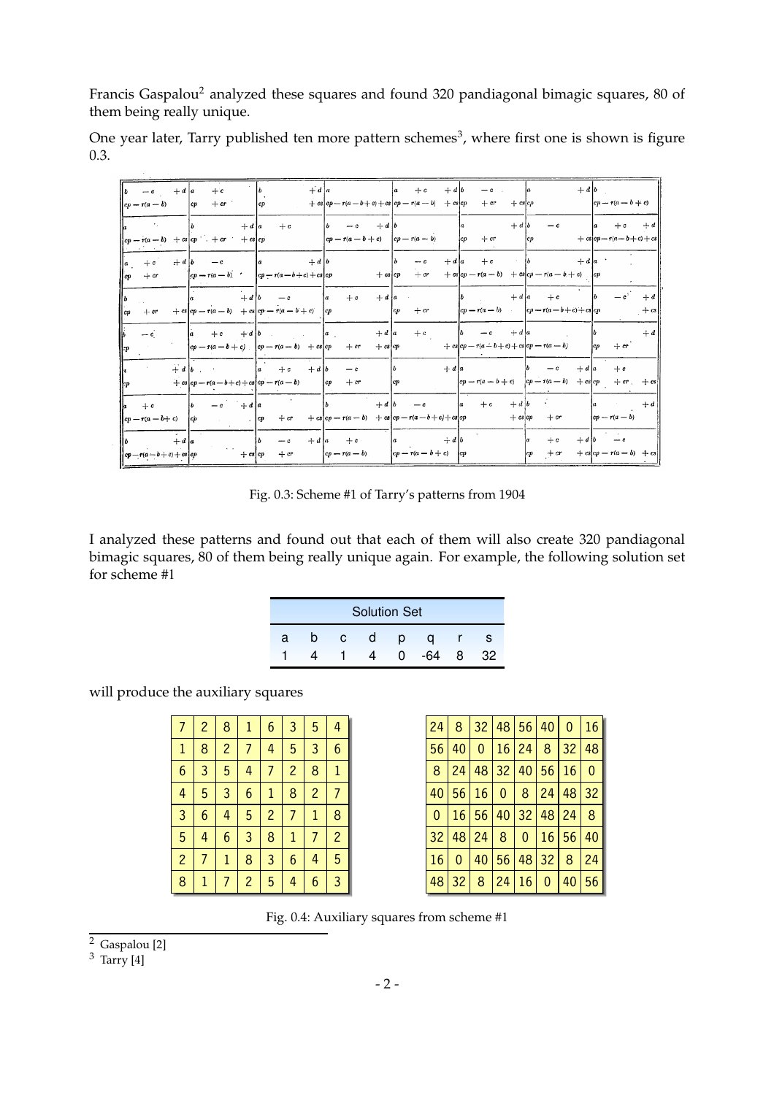Francis Gaspalou<sup>2</sup> analyzed these squares and found 320 pandiagonal bimagic squares, 80 of them being really unique.

|    |    | $-c$                                                                                                               | $+ d  a$  |                | $+ c$                                                                 |                                                  |    |        |                | $\begin{array}{ccc} + d & a & a \end{array}$                                                 |               |    | $+ c$                                      | $+ d   b$ |                          | $-c$ .                                                                          | a             |    |                                |                 | $+ d   b$ |                                              |         |
|----|----|--------------------------------------------------------------------------------------------------------------------|-----------|----------------|-----------------------------------------------------------------------|--------------------------------------------------|----|--------|----------------|----------------------------------------------------------------------------------------------|---------------|----|--------------------------------------------|-----------|--------------------------|---------------------------------------------------------------------------------|---------------|----|--------------------------------|-----------------|-----------|----------------------------------------------|---------|
|    |    | $cp = r(a - b)$  cp                                                                                                |           |                | $+cr$                                                                 |                                                  | ep |        |                | $+ cs   cp - r(a - b + c) + cs   cp - r(a - b) + cs   cp$                                    |               |    |                                            |           |                          | $+$ or                                                                          | $+ c s   c p$ |    |                                |                 |           | $\left[cp-r(a-b+c)\right]$                   |         |
|    |    | $\mathbf{b}$ and $\mathbf{b}$ and $\mathbf{b}$ and $\mathbf{b}$ and $\mathbf{b}$ and $\mathbf{b}$ and $\mathbf{b}$ |           |                |                                                                       | $+ d   a$                                        |    | $+ c$  |                | $-0$                                                                                         | $+ d   b$     |    |                                            |           |                          |                                                                                 | $+ d   b$     |    | $-c$                           | a               |           | $+ c$                                        | $+ d$   |
|    |    | $ cp - r(a - b)  + cs  cp  + cr + cs  cp $                                                                         |           |                |                                                                       |                                                  |    |        |                | $ cp-r(a-b+c) cp-r(a-b)$                                                                     |               |    |                                            |           | cp                       | $+cr$                                                                           |               | cp |                                |                 |           | $+ cs   cp - r(a - b + c) + cs$              |         |
|    | a  | $+ c$                                                                                                              |           | $+d b$         | $-c$                                                                  |                                                  |    |        | $a + d \mid b$ |                                                                                              |               |    | $-c$                                       | $+ d  a $ |                          |                                                                                 |               |    | $+c$ $\qquad \qquad \boxed{b}$ | $+ d  a$        |           |                                              |         |
|    | cp | $+cr$                                                                                                              |           |                | $\begin{vmatrix} cp - r(a-b) & cp - r(a-b+c) + cs & cp \end{vmatrix}$ |                                                  |    |        |                |                                                                                              | $+ c s   c p$ |    | $+cr$                                      |           |                          | $+ cs   cp - r(a - b) + cs   cp - r(a - b + c)$  cp                             |               |    |                                |                 |           |                                              |         |
|    |    |                                                                                                                    |           |                |                                                                       | $+d b $                                          |    | $-c$   | $\overline{a}$ | $+$ $\epsilon$                                                                               |               |    | $+ d  a$                                   |           |                          | $ b + d a$                                                                      |               |    | $+ c$                          | $\vert b \vert$ |           | $-e^{\frac{1}{2}}$                           | $+ d$   |
| cр |    | $+cr$                                                                                                              |           |                | $+ cs   cp - r(a - b) + cs   cp - r(a - b + c)   cp$                  |                                                  |    |        |                |                                                                                              |               |    | $\begin{array}{ccc} [cp & +cr \end{array}$ |           |                          | $\begin{vmatrix} cp - r(a-b) & \vert cp - r(a-b+c) + cs \vert cp \end{vmatrix}$ |               |    |                                |                 |           |                                              | $+ c s$ |
|    |    | $-e^{\frac{1}{2}}$                                                                                                 |           | $\overline{a}$ | $+ c$                                                                 | $+ d b$                                          |    |        |                | $\begin{array}{ccc} a & b \\ c & d \end{array}$                                              | $+ d  a $     |    | $+ c$                                      |           | $\left  b \right\rangle$ | $-c$                                                                            |               |    | $+ d  a$                       |                 |           |                                              | $+ d$   |
| 2P |    |                                                                                                                    |           |                | $[cp - r(a - b + c)]$ $[cp - r(a - b) + cs]cp$ + cr                   |                                                  |    |        |                |                                                                                              | $+ c s  cp$   |    |                                            |           |                          | $+ cs  cp - r(a - b + c) + cs  cp - r(a - b)$                                   |               |    |                                |                 | cp        | $+cr$                                        |         |
|    |    |                                                                                                                    |           |                | $+ d   b$ $  a + c + d   b$                                           |                                                  |    |        |                | $-c$                                                                                         |               |    |                                            |           |                          | $+d  a$ $ b$                                                                    |               |    | $-c$                           | $+ d   a$       |           | $+ c$                                        |         |
|    |    |                                                                                                                    |           |                | $+ cs [cp - r(a - b + c) + cs [cp - r(a - b)]$ $cp$                   |                                                  |    |        |                | $+cr$                                                                                        |               | cp |                                            |           |                          | $ cp - r(a - b + c) $ $[cp - r(a - b) + cs]cp$ + cr + cs                        |               |    |                                |                 |           |                                              |         |
|    |    | $+$ c                                                                                                              |           | b              | $-c$                                                                  | $+ d  a$                                         |    |        |                | $\begin{array}{ccc} \cdot & & \phantom{-} \phantom{a} & & \phantom{-} & + d & b \end{array}$ |               |    | $-c$                                       |           |                          | $a + c$                                                                         | $+ d b$       |    |                                |                 |           | $\begin{array}{ccc} \n a & +d \n\end{array}$ |         |
|    |    | $\left cp-r(a-b+c)\right $                                                                                         |           | cp             |                                                                       | cp                                               |    | $+$ cr |                | $+ cs   cp - r(a - b) + cs   cp - r(a - b + c) + cs   cp$                                    |               |    |                                            |           |                          |                                                                                 | $+ c s c p$   |    | $+$ cr                         |                 |           | $ cp - r(a - b) $                            |         |
|    |    |                                                                                                                    | $+ d  a $ |                |                                                                       | $\begin{array}{ccc} & & b \\ \hline \end{array}$ |    | $-c$   | $+ d  a $      | $+ c$                                                                                        |               | a  |                                            | $+ d   b$ |                          |                                                                                 |               | a  | $+ c$                          | $+ d b$         |           | $-c$                                         |         |
|    |    | $cp - r(a - b + c) + cs$ $cp$                                                                                      |           |                |                                                                       | $+ c s   c p$                                    |    | $+cr$  |                | $\left[ cp - r(a - b)\right]$                                                                |               |    | $[cp - r(a - b + c)]$ cp                   |           |                          |                                                                                 |               | cp | $+cr$                          |                 |           | $+ cs   cp - r(a - b) + cs $                 |         |

One year later, Tarry published ten more pattern schemes<sup>3</sup>, where first one is shown is figure 0.3.

Fig. 0.3: Scheme #1 of Tarry's patterns from 1904

I analyzed these patterns and found out that each of them will also create 320 pandiagonal bimagic squares, 80 of them being really unique again. For example, the following solution set for scheme #1

|   |   | <b>Solution Set</b> |   |     |   |    |
|---|---|---------------------|---|-----|---|----|
| a | C | d                   | D | a   |   | s  |
|   |   |                     | n | -64 | 8 | 32 |

will produce the auxiliary squares

| 7              | $\overline{c}$ | 8              | $\mathbf{1}$   | 6              | 3              | 5              | 4              |
|----------------|----------------|----------------|----------------|----------------|----------------|----------------|----------------|
| 1              | 8              | $\overline{c}$ | 7              | 4              | 5              | 3              | 6              |
| 6              | 3              | 5              | 4              | 7              | $\overline{c}$ | 8              | 1              |
| 4              | 5              | 3              | 6              | $\mathbf{1}$   | 8              | $\overline{c}$ | 7              |
| 3              | 6              | 4              | 5              | $\overline{c}$ | 7              | $\mathbf{1}$   | 8              |
| 5              | 4              | 6              | 3              | 8              | 1              | 7              | $\overline{c}$ |
| $\overline{c}$ | 7              | $\mathbf{1}$   | 8              | 3              | 6              | 4              | 5              |
| 8              | 1              | 7              | $\overline{c}$ | 5              | 4              | 6              | 3              |

|    |   | $24 \mid 8 \mid 32 \mid 48 \mid 56 \mid 40 \mid 0$ |  |    | <b>16</b> |
|----|---|----------------------------------------------------|--|----|-----------|
| 56 |   | 40 0 16 24 8 32 48                                 |  |    |           |
| 8  |   | 24   48   32   40   56   16   0                    |  |    |           |
|    |   | $ 40 $ 56   16   0   8   24   48   32              |  |    |           |
| 0  |   | 16 56 40 32 48 24                                  |  |    | -8        |
| 32 |   | $148$   24   8   0   16   56   40                  |  |    |           |
| 16 | 0 | 40 56 48 32 8                                      |  |    | 24        |
|    |   | 48 32 8 24 16 0                                    |  | 40 | 56        |

Fig. 0.4: Auxiliary squares from scheme #1

<sup>&</sup>lt;sup>2</sup> Gaspalou [2]

 $3$  Tarry [4]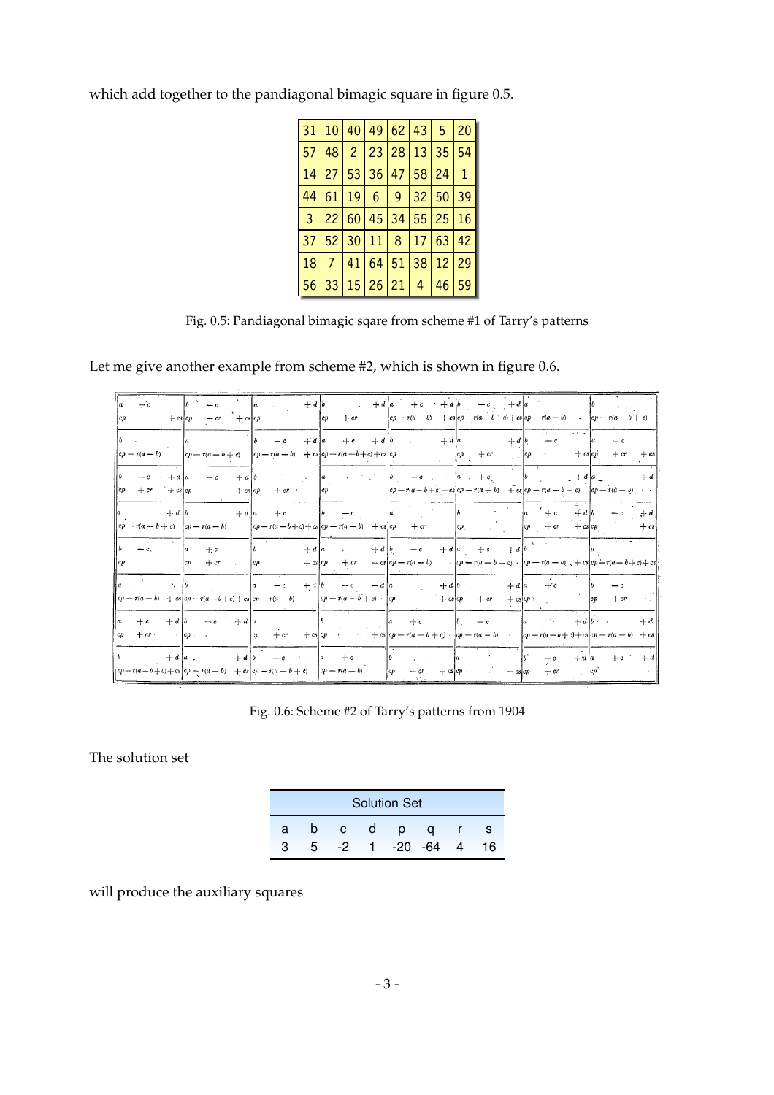| 31   10   40   49   62   43   5   20 |  |  |  |                                      |
|--------------------------------------|--|--|--|--------------------------------------|
| 57   48   2   23   28   13   35   54 |  |  |  |                                      |
| 14   27   53   36   47   58   24   1 |  |  |  |                                      |
| 44   61   19   6   9   32   50   39  |  |  |  |                                      |
| $3 22 60 45 34 55 25 16$             |  |  |  |                                      |
| 37   52   30   11   8   17   63   42 |  |  |  |                                      |
| 18   7   41   64   51   38   12   29 |  |  |  |                                      |
|                                      |  |  |  | 56   33   15   26   21   4   46   59 |

which add together to the pandiagonal bimagic square in figure 0.5.

Fig. 0.5: Pandiagonal bimagic sqare from scheme #1 of Tarry's patterns

Let me give another example from scheme #2, which is shown in figure 0.6.

|    | $\begin{vmatrix} a & +c & b & -c \end{vmatrix}$                                                                             |                  |                 |                            |    |                                                                                     |  |                                                                                                                                             |  | $+a b$ $+a a$ $+c$ $+d b$ $-c$ $+d a$ $ b$                                                                                                             |              |                                          |           |                                                                                                       |              |                   |         |
|----|-----------------------------------------------------------------------------------------------------------------------------|------------------|-----------------|----------------------------|----|-------------------------------------------------------------------------------------|--|---------------------------------------------------------------------------------------------------------------------------------------------|--|--------------------------------------------------------------------------------------------------------------------------------------------------------|--------------|------------------------------------------|-----------|-------------------------------------------------------------------------------------------------------|--------------|-------------------|---------|
| cp |                                                                                                                             |                  |                 | $+ cs   cp + cr + cs   cp$ |    |                                                                                     |  | $ cp + cr $                                                                                                                                 |  | $\begin{vmatrix} cp - r(a - b) & + cs & p - r(a - b + c) + cs & p - r(a - b) & c & p - r(a - b + c) \end{vmatrix}$                                     |              |                                          |           |                                                                                                       |              |                   |         |
|    |                                                                                                                             |                  | a               |                            |    |                                                                                     |  | $\begin{array}{ccccccc} b & -c & +d & a & +c & +d & b \end{array}$                                                                          |  |                                                                                                                                                        |              | $+ d  a$ $+ d  b$ $-c$ $ a $             |           |                                                                                                       |              | $+$ c             |         |
|    | $ cp - r(a - b) $                                                                                                           |                  |                 |                            |    |                                                                                     |  | $ cp-r(a-b+c) cp-r(a-b) + cs cp-r(a-b+c)+cs cp.$                                                                                            |  |                                                                                                                                                        |              | $ cp $ + cr $ cp $ + cs $ cp $ + cr + cs |           |                                                                                                       |              |                   |         |
|    | $-c + d  a$                                                                                                                 |                  |                 | $+ c$                      |    | $+ d \begin{bmatrix} b & & & a \end{bmatrix}$                                       |  |                                                                                                                                             |  | $\begin{array}{ccccccccccccc} \cdot & \cdot & \cdot & \cdot & b & -c & \cdot & a & +c & b & \cdot & -d & -d \end{array}$                               |              |                                          |           |                                                                                                       |              |                   |         |
|    | $+cr + cs cp$                                                                                                               |                  |                 |                            |    | $+ cs   cp + cr$   $cp$                                                             |  |                                                                                                                                             |  | $ cp - r(a - b + c) + cs cp - r(a - b) + cs cp - r(a - b + c) cp - r(a - b)$                                                                           |              |                                          |           |                                                                                                       |              |                   |         |
|    |                                                                                                                             |                  |                 |                            |    |                                                                                     |  | $+ d \begin{vmatrix} b & +d \end{vmatrix} a + c$ $\begin{vmatrix} b & -c \end{vmatrix} a$                                                   |  |                                                                                                                                                        |              |                                          |           | $\cdot$ $ a - 1 + c $                                                                                 | $+ d \mid b$ | $-c$ $\qquad$ + d |         |
|    |                                                                                                                             |                  |                 |                            |    |                                                                                     |  | $ cp - r(a - b + c) $ $ cp - r(a - b) $ $ cp - r(a - b + c)  + cs  cp - r(a - b)  + cs  cp $ $+ cr$                                         |  |                                                                                                                                                        | $ cp\rangle$ |                                          |           | $\begin{array}{ccc} \n\begin{array}{ccc}\n\alpha & + & c \\ \alpha & + & c\n\end{array}\n\end{array}$ |              |                   | $+ c s$ |
|    | $-c1$                                                                                                                       |                  | $\vert a \vert$ | $+ c$                      |    | $\vert b \vert$                                                                     |  |                                                                                                                                             |  | $+ d \begin{vmatrix} a & b & c \end{vmatrix} + d \begin{vmatrix} b & -c & + d \end{vmatrix} + c$                                                       |              |                                          | $+ d   b$ |                                                                                                       |              |                   |         |
|    |                                                                                                                             | $\vert cp \vert$ |                 | $+cr$                      | cp |                                                                                     |  | $+ c s  c p + c r$                                                                                                                          |  | $+ cs   cp - r(a - b)$ $cp - r(a - b + c) \cdot   cp - r(a - b) + cs   cp - r(a - b + c) + cs$                                                         |              |                                          |           |                                                                                                       |              |                   |         |
|    |                                                                                                                             |                  |                 |                            |    | $\begin{vmatrix} a & b & c \end{vmatrix}$ $\begin{vmatrix} a & b & c \end{vmatrix}$ |  | $+ d  b - c  + d  a$                                                                                                                        |  |                                                                                                                                                        |              | $+a b$                                   |           | $+d a $ + c                                                                                           |              |                   |         |
|    |                                                                                                                             |                  |                 |                            |    |                                                                                     |  | $\begin{vmatrix} cp - r(a-b) + cs & cp - r(a-b+c) + cs & cp - r(a-b) \end{vmatrix}$ $\begin{vmatrix} cp - r(a-b+c) + cp & cp \end{vmatrix}$ |  |                                                                                                                                                        |              | $+ c s  cp + cr$                         |           | $+ c s  cp \rightarrow \qquad \qquad \boxed{cp} \qquad + c r$                                         |              |                   |         |
|    |                                                                                                                             |                  |                 |                            |    |                                                                                     |  | $\overline{a + c + d \mid b - c + d \mid a}$ $\qquad \qquad \boxed{b}$                                                                      |  | $ a + c $ $ b  - c$                                                                                                                                    |              |                                          |           | $ a \t+ d b \t+ d$                                                                                    |              |                   |         |
|    | $\begin{array}{ccc} cp & +cr & \cdot & \cdot & \cdot\end{array}$ $\begin{array}{ccc} cp & \cdot & \cdot & \cdot\end{array}$ |                  |                 |                            |    |                                                                                     |  |                                                                                                                                             |  | $\begin{vmatrix} cp & +cr & +cs & p \end{vmatrix}$ $\begin{vmatrix} cp & +cs & -ra - b + c \end{vmatrix}$ $\begin{vmatrix} cp & -ra - b \end{vmatrix}$ |              |                                          |           | $ cp - r(a - b + c) + cs cp - r(a - b) + cs $                                                         |              |                   |         |
|    |                                                                                                                             |                  |                 |                            |    | $+d  a $ $+ d  b$ $-c$ $a$                                                          |  | $+ c$                                                                                                                                       |  | $\begin{array}{ccc} \n b & c & d \n \end{array}$ $\begin{array}{ccc} \n a & b & -c & +d \n \end{array}$                                                |              |                                          |           |                                                                                                       |              | $+ c$             | $+ d$   |
|    |                                                                                                                             |                  |                 |                            |    |                                                                                     |  | $ cp-r(a-b+c)+cs cp-r(a-b) + cs cp-r(a-b+c) cp-r(a-b)$                                                                                      |  | $ cp + cr + cs cp$                                                                                                                                     |              |                                          |           | $+ c s c p + c r$  cp                                                                                 |              |                   |         |

Fig. 0.6: Scheme #2 of Tarry's patterns from 1904

The solution set

| <b>Solution Set</b> |   |              |              |        |           |  |    |  |  |  |  |
|---------------------|---|--------------|--------------|--------|-----------|--|----|--|--|--|--|
| а                   | n | C            | d            | $\Box$ | a         |  |    |  |  |  |  |
|                     | 5 | $-2^{\circ}$ | $\mathbf{1}$ |        | $-20 -64$ |  | 16 |  |  |  |  |

will produce the auxiliary squares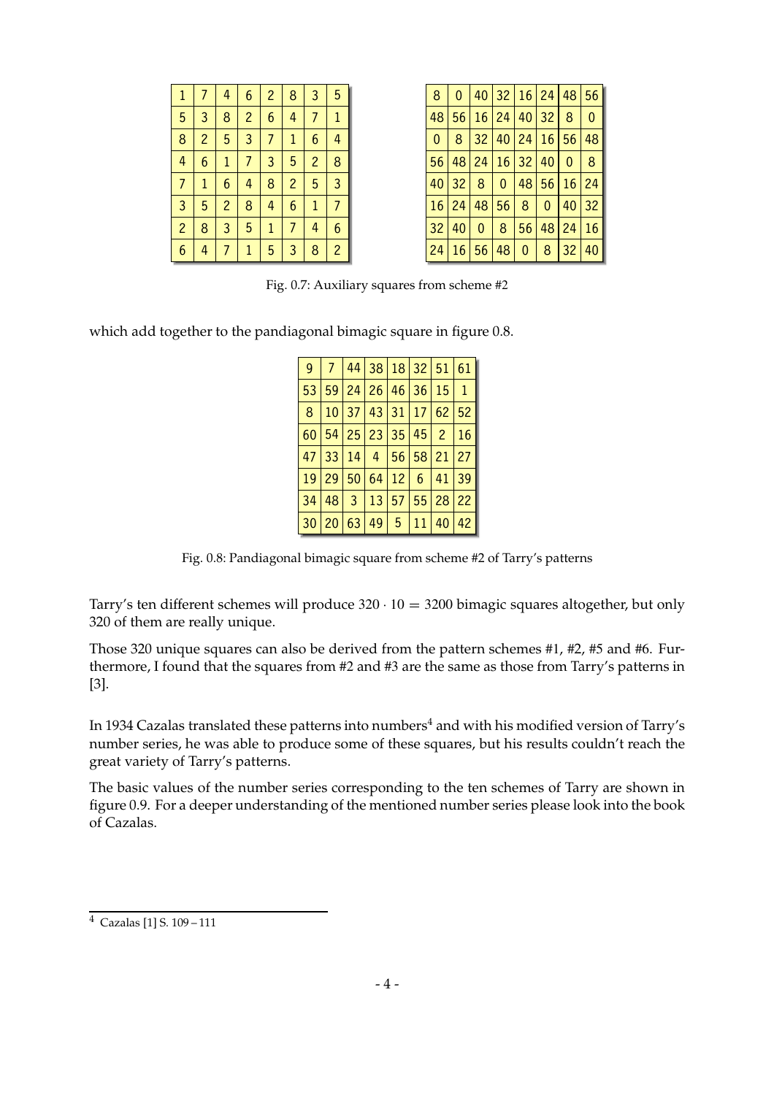| $\mathbf{1}$   | 7              | 4              | 6              | $\overline{c}$ | 8                | 3              | 5              |
|----------------|----------------|----------------|----------------|----------------|------------------|----------------|----------------|
| 5              | 3              | 8              | $\overline{c}$ | 6              | 4                | 7              | $\mathbf{1}$   |
| 8              | $\overline{c}$ | 5              | 3              | 7              | $\mathbf{1}$     | 6              | 4              |
| 4              | 6              | $\mathbf{1}$   | 7              | 3              | 5                | $\overline{c}$ | 8              |
| 7              | 1              | 6              | 4              | 8              | $\overline{c}$   | 5              | 3              |
| 3              | 5              | $\overline{c}$ | 8              | 4              | $\boldsymbol{6}$ | $\mathbf{1}$   | 7              |
| $\overline{c}$ | 8              | 3              | 5              | $\mathbf{1}$   | 7                | 4              | 6              |
| 6              | 4              | 7              | $\mathbf{1}$   | 5              | 3                | 8              | $\overline{c}$ |

|  | 8   0   40   32   16   24   48   56 |  |  |
|--|-------------------------------------|--|--|
|  | 48 56 16 24 40 32 8 0               |  |  |
|  | 0   8   32   40   24   16   56   48 |  |  |
|  | 56 48 24 16 32 40 0 8               |  |  |
|  | 40 32 8 0 48 56 16 24               |  |  |
|  | 16 24 48 56 8 0 40 32               |  |  |
|  | 32 40 0 8 56 48 24 16               |  |  |
|  | 24   16   56   48   0   8   32   40 |  |  |

Fig. 0.7: Auxiliary squares from scheme #2

which add together to the pandiagonal bimagic square in figure 0.8.

| 9  |                        |             | 44   38   18   32   51   61 |                |    |              |
|----|------------------------|-------------|-----------------------------|----------------|----|--------------|
|    | 53 59 24 26 46 36 15   |             |                             |                |    | $\spadesuit$ |
| 8  |                        |             | 10 37 43 31 17 62 52        |                |    |              |
|    | 60 54 25 23 35 45 2    |             |                             |                |    | 16           |
|    | 47 33 14 4 56 58 21 27 |             |                             |                |    |              |
|    | 19 29 50 64 12 6 41 39 |             |                             |                |    |              |
| 34 |                        | $48 \mid 3$ |                             | 13 57 55 28 22 |    |              |
| 30 | 20 63 49 5             |             |                             | 11             | 40 | 42           |

Fig. 0.8: Pandiagonal bimagic square from scheme #2 of Tarry's patterns

Tarry's ten different schemes will produce  $320 \cdot 10 = 3200$  bimagic squares altogether, but only 320 of them are really unique.

Those 320 unique squares can also be derived from the pattern schemes #1, #2, #5 and #6. Furthermore, I found that the squares from #2 and #3 are the same as those from Tarry's patterns in [3].

In 1934 Cazalas translated these patterns into numbers<sup>4</sup> and with his modified version of Tarry's number series, he was able to produce some of these squares, but his results couldn't reach the great variety of Tarry's patterns.

The basic values of the number series corresponding to the ten schemes of Tarry are shown in figure 0.9. For a deeper understanding of the mentioned number series please look into the book of Cazalas.

<sup>4</sup> Cazalas [1] S. 109 – 111